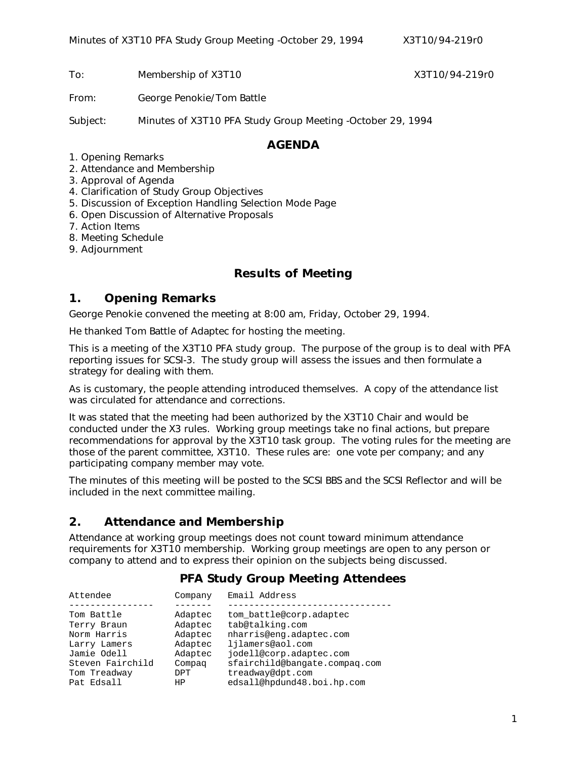To: Membership of X3T10 X3T10 X3T10/94-219r0

From: George Penokie/Tom Battle

Subject: Minutes of X3T10 PFA Study Group Meeting -October 29, 1994

#### **AGENDA**

- 1. Opening Remarks
- 2. Attendance and Membership
- 3. Approval of Agenda
- 4. Clarification of Study Group Objectives
- 5. Discussion of Exception Handling Selection Mode Page
- 6. Open Discussion of Alternative Proposals
- 7. Action Items
- 8. Meeting Schedule
- 9. Adjournment

#### **Results of Meeting**

#### **1. Opening Remarks**

George Penokie convened the meeting at 8:00 am, Friday, October 29, 1994.

He thanked Tom Battle of Adaptec for hosting the meeting.

This is a meeting of the X3T10 PFA study group. The purpose of the group is to deal with PFA reporting issues for SCSI-3. The study group will assess the issues and then formulate a strategy for dealing with them.

As is customary, the people attending introduced themselves. A copy of the attendance list was circulated for attendance and corrections.

It was stated that the meeting had been authorized by the X3T10 Chair and would be conducted under the X3 rules. Working group meetings take no final actions, but prepare recommendations for approval by the X3T10 task group. The voting rules for the meeting are those of the parent committee, X3T10. These rules are: one vote per company; and any participating company member may vote.

The minutes of this meeting will be posted to the SCSI BBS and the SCSI Reflector and will be included in the next committee mailing.

### **2. Attendance and Membership**

Attendance at working group meetings does not count toward minimum attendance requirements for X3T10 membership. Working group meetings are open to any person or company to attend and to express their opinion on the subjects being discussed.

### **PFA Study Group Meeting Attendees**

| Attendee         | Company | Email Address                 |
|------------------|---------|-------------------------------|
|                  |         |                               |
| Tom Battle       | Adaptec | tom battle@corp.adaptec       |
| Terry Braun      | Adaptec | tab@talking.com               |
| Norm Harris      | Adaptec | nharris@enq.adaptec.com       |
| Larry Lamers     | Adaptec | ljlamers@aol.com              |
| Jamie Odell      | Adaptec | jodell@corp.adaptec.com       |
| Steven Fairchild | Compag  | sfairchild@bangate.compag.com |
| Tom Treadway     | DPT     | treadway@dpt.com              |
| Pat Edsall       | ΗP      | edsall@hpdund48.boi.hp.com    |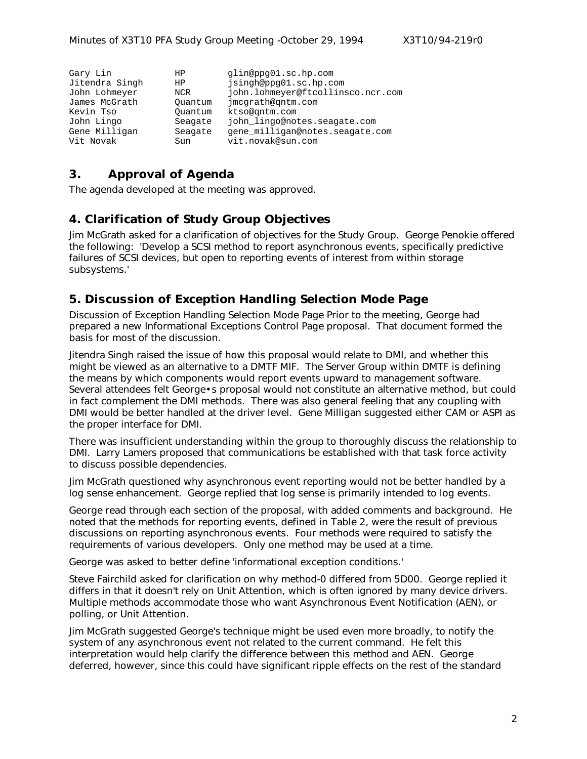| Gary Lin       | HP      | qlin@ppq01.sc.hp.com              |
|----------------|---------|-----------------------------------|
| Jitendra Singh | HP      | jsingh@ppg01.sc.hp.com            |
| John Lohmeyer  | NCR     | john.lohmeyer@ftcollinsco.ncr.com |
| James McGrath  | Ouantum | jmcqrath@qntm.com                 |
| Kevin Tso      | Ouantum | ktso@gntm.com                     |
| John Lingo     | Seagate | john_lingo@notes.seagate.com      |
| Gene Milligan  | Seagate | gene milligan@notes.seagate.com   |
| Vit Novak      | Sun     | vit.novak@sun.com                 |

### **3. Approval of Agenda**

The agenda developed at the meeting was approved.

### **4. Clarification of Study Group Objectives**

Jim McGrath asked for a clarification of objectives for the Study Group. George Penokie offered the following: 'Develop a SCSI method to report asynchronous events, specifically predictive failures of SCSI devices, but open to reporting events of interest from within storage subsystems.'

### **5. Discussion of Exception Handling Selection Mode Page**

Discussion of Exception Handling Selection Mode Page Prior to the meeting, George had prepared a new Informational Exceptions Control Page proposal. That document formed the basis for most of the discussion.

Jitendra Singh raised the issue of how this proposal would relate to DMI, and whether this might be viewed as an alternative to a DMTF MIF. The Server Group within DMTF is defining the means by which components would report events upward to management software. Several attendees felt George•s proposal would not constitute an alternative method, but could in fact complement the DMI methods. There was also general feeling that any coupling with DMI would be better handled at the driver level. Gene Milligan suggested either CAM or ASPI as the proper interface for DMI.

There was insufficient understanding within the group to thoroughly discuss the relationship to DMI. Larry Lamers proposed that communications be established with that task force activity to discuss possible dependencies.

Jim McGrath questioned why asynchronous event reporting would not be better handled by a log sense enhancement. George replied that log sense is primarily intended to log events.

George read through each section of the proposal, with added comments and background. He noted that the methods for reporting events, defined in Table 2, were the result of previous discussions on reporting asynchronous events. Four methods were required to satisfy the requirements of various developers. Only one method may be used at a time.

George was asked to better define 'informational exception conditions.'

Steve Fairchild asked for clarification on why method-0 differed from 5D00. George replied it differs in that it doesn't rely on Unit Attention, which is often ignored by many device drivers. Multiple methods accommodate those who want Asynchronous Event Notification (AEN), or polling, or Unit Attention.

Jim McGrath suggested George's technique might be used even more broadly, to notify the system of any asynchronous event not related to the current command. He felt this interpretation would help clarify the difference between this method and AEN. George deferred, however, since this could have significant ripple effects on the rest of the standard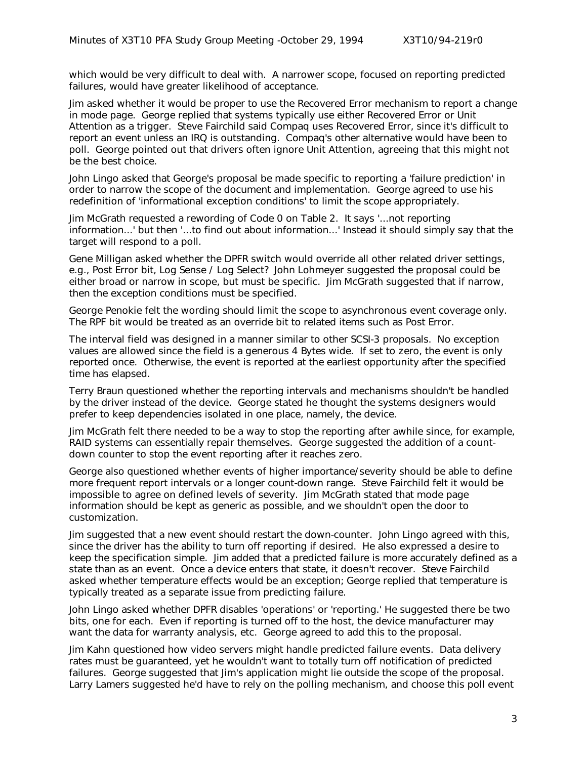which would be very difficult to deal with. A narrower scope, focused on reporting predicted failures, would have greater likelihood of acceptance.

Jim asked whether it would be proper to use the Recovered Error mechanism to report a change in mode page. George replied that systems typically use either Recovered Error or Unit Attention as a trigger. Steve Fairchild said Compaq uses Recovered Error, since it's difficult to report an event unless an IRQ is outstanding. Compaq's other alternative would have been to poll. George pointed out that drivers often ignore Unit Attention, agreeing that this might not be the best choice.

John Lingo asked that George's proposal be made specific to reporting a 'failure prediction' in order to narrow the scope of the document and implementation. George agreed to use his redefinition of 'informational exception conditions' to limit the scope appropriately.

Jim McGrath requested a rewording of Code 0 on Table 2. It says '...not reporting information...' but then '...to find out about information...' Instead it should simply say that the target will respond to a poll.

Gene Milligan asked whether the DPFR switch would override all other related driver settings, e.g., Post Error bit, Log Sense / Log Select? John Lohmeyer suggested the proposal could be either broad or narrow in scope, but must be specific. Jim McGrath suggested that if narrow, then the exception conditions must be specified.

George Penokie felt the wording should limit the scope to asynchronous event coverage only. The RPF bit would be treated as an override bit to related items such as Post Error.

The interval field was designed in a manner similar to other SCSI-3 proposals. No exception values are allowed since the field is a generous 4 Bytes wide. If set to zero, the event is only reported once. Otherwise, the event is reported at the earliest opportunity after the specified time has elapsed.

Terry Braun questioned whether the reporting intervals and mechanisms shouldn't be handled by the driver instead of the device. George stated he thought the systems designers would prefer to keep dependencies isolated in one place, namely, the device.

Jim McGrath felt there needed to be a way to stop the reporting after awhile since, for example, RAID systems can essentially repair themselves. George suggested the addition of a countdown counter to stop the event reporting after it reaches zero.

George also questioned whether events of higher importance/severity should be able to define more frequent report intervals or a longer count-down range. Steve Fairchild felt it would be impossible to agree on defined levels of severity. Jim McGrath stated that mode page information should be kept as generic as possible, and we shouldn't open the door to customization.

Jim suggested that a new event should restart the down-counter. John Lingo agreed with this, since the driver has the ability to turn off reporting if desired. He also expressed a desire to keep the specification simple. Jim added that a predicted failure is more accurately defined as a state than as an event. Once a device enters that state, it doesn't recover. Steve Fairchild asked whether temperature effects would be an exception; George replied that temperature is typically treated as a separate issue from predicting failure.

John Lingo asked whether DPFR disables 'operations' or 'reporting.' He suggested there be two bits, one for each. Even if reporting is turned off to the host, the device manufacturer may want the data for warranty analysis, etc. George agreed to add this to the proposal.

Jim Kahn questioned how video servers might handle predicted failure events. Data delivery rates must be guaranteed, yet he wouldn't want to totally turn off notification of predicted failures. George suggested that Jim's application might lie outside the scope of the proposal. Larry Lamers suggested he'd have to rely on the polling mechanism, and choose this poll event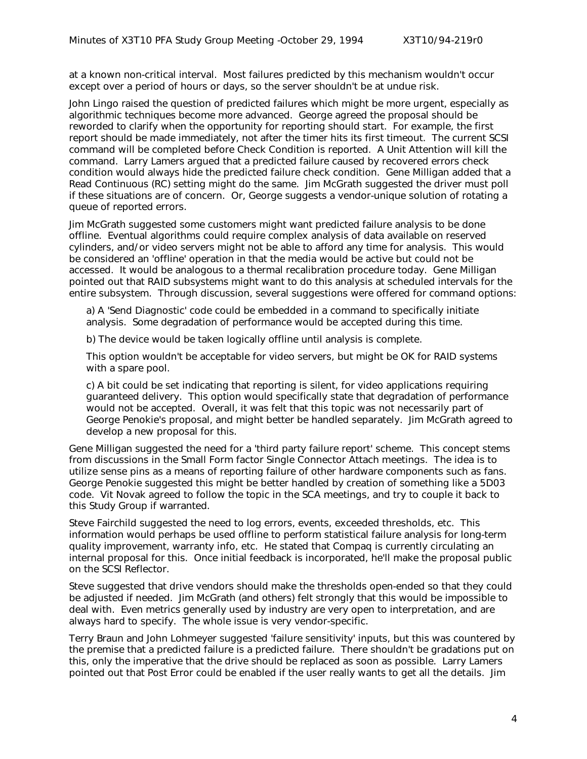at a known non-critical interval. Most failures predicted by this mechanism wouldn't occur except over a period of hours or days, so the server shouldn't be at undue risk.

John Lingo raised the question of predicted failures which might be more urgent, especially as algorithmic techniques become more advanced. George agreed the proposal should be reworded to clarify when the opportunity for reporting should start. For example, the first report should be made immediately, not after the timer hits its first timeout. The current SCSI command will be completed before Check Condition is reported. A Unit Attention will kill the command. Larry Lamers argued that a predicted failure caused by recovered errors check condition would always hide the predicted failure check condition. Gene Milligan added that a Read Continuous (RC) setting might do the same. Jim McGrath suggested the driver must poll if these situations are of concern. Or, George suggests a vendor-unique solution of rotating a queue of reported errors.

Jim McGrath suggested some customers might want predicted failure analysis to be done offline. Eventual algorithms could require complex analysis of data available on reserved cylinders, and/or video servers might not be able to afford any time for analysis. This would be considered an 'offline' operation in that the media would be active but could not be accessed. It would be analogous to a thermal recalibration procedure today. Gene Milligan pointed out that RAID subsystems might want to do this analysis at scheduled intervals for the entire subsystem. Through discussion, several suggestions were offered for command options:

a) A 'Send Diagnostic' code could be embedded in a command to specifically initiate analysis. Some degradation of performance would be accepted during this time.

b) The device would be taken logically offline until analysis is complete.

This option wouldn't be acceptable for video servers, but might be OK for RAID systems with a spare pool.

c) A bit could be set indicating that reporting is silent, for video applications requiring guaranteed delivery. This option would specifically state that degradation of performance would not be accepted. Overall, it was felt that this topic was not necessarily part of George Penokie's proposal, and might better be handled separately. Jim McGrath agreed to develop a new proposal for this.

Gene Milligan suggested the need for a 'third party failure report' scheme. This concept stems from discussions in the Small Form factor Single Connector Attach meetings. The idea is to utilize sense pins as a means of reporting failure of other hardware components such as fans. George Penokie suggested this might be better handled by creation of something like a 5D03 code. Vit Novak agreed to follow the topic in the SCA meetings, and try to couple it back to this Study Group if warranted.

Steve Fairchild suggested the need to log errors, events, exceeded thresholds, etc. This information would perhaps be used offline to perform statistical failure analysis for long-term quality improvement, warranty info, etc. He stated that Compaq is currently circulating an internal proposal for this. Once initial feedback is incorporated, he'll make the proposal public on the SCSI Reflector.

Steve suggested that drive vendors should make the thresholds open-ended so that they could be adjusted if needed. Jim McGrath (and others) felt strongly that this would be impossible to deal with. Even metrics generally used by industry are very open to interpretation, and are always hard to specify. The whole issue is very vendor-specific.

Terry Braun and John Lohmeyer suggested 'failure sensitivity' inputs, but this was countered by the premise that a predicted failure is a predicted failure. There shouldn't be gradations put on this, only the imperative that the drive should be replaced as soon as possible. Larry Lamers pointed out that Post Error could be enabled if the user really wants to get all the details. Jim